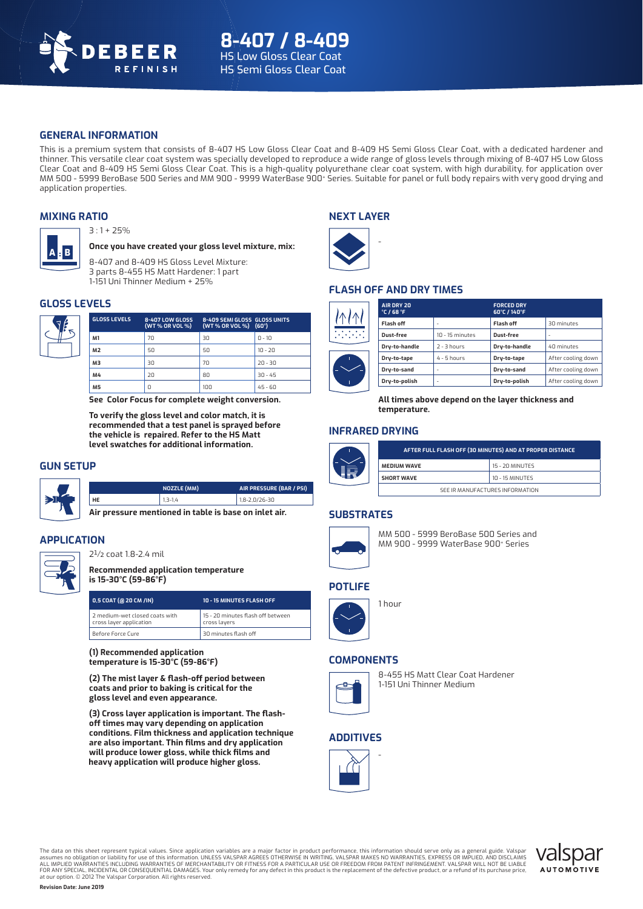

# **GENERAL INFORMATION**

This is a premium system that consists of 8-407 HS Low Gloss Clear Coat and 8-409 HS Semi Gloss Clear Coat, with a dedicated hardener and thinner. This versatile clear coat system was specially developed to reproduce a wide range of gloss levels through mixing of 8-407 HS Low Gloss Clear Coat and 8-409 HS Semi Gloss Clear Coat. This is a high-quality polyurethane clear coat system, with high durability, for application over MM 500 - 5999 BeroBase 500 Series and MM 900 - 9999 WaterBase 900+ Series. Suitable for panel or full body repairs with very good drying and application properties.

# **MIXING RATIO**



**Once you have created your gloss level mixture, mix:** 

8-407 and 8-409 HS Gloss Level Mixture: 3 parts 8-455 HS Matt Hardener: 1 part 1-151 Uni Thinner Medium + 25%

# **GLOSS LEVELS**



**A B**

| <b>8-407 LOW GLOSS</b><br>(WT % OR VOL %) | 8-409 SEMI GLOSS GLOSS UNITS |                     |
|-------------------------------------------|------------------------------|---------------------|
| 70                                        | 30                           | $n - 10$            |
| 50                                        | 50                           | $10 - 20$           |
| 30                                        | 70                           | $20 - 30$           |
| 20                                        | 80                           | $30 - 45$           |
| n                                         | 100                          | $45 - 60$           |
|                                           |                              | (WT% OR VOL%) (60°) |

**See Color Focus for complete weight conversion.** 

**To verify the gloss level and color match, it is recommended that a test panel is sprayed before the vehicle is repaired. Refer to the HS Matt level swatches for additional information.**

## **GUN SETUP**



|                                                       | NOZZLE (MM) | AIR PRESSURE (BAR / PSI) |  |  |
|-------------------------------------------------------|-------------|--------------------------|--|--|
| HE                                                    | $1,3-1,4$   | $1,8 - 2,0/26 - 30$      |  |  |
| Air pressure mentioned in table is base on inlet air. |             |                          |  |  |

**APPLICATION**



2½ coat 1.8-2.4 mil

**Recommended application temperature is 15-30°C (59-86°F)**

| 0,5 COAT (@ 20 CM /IN)                                    | 10 - 15 MINUTES FLASH OFF                         |
|-----------------------------------------------------------|---------------------------------------------------|
| 2 medium-wet closed coats with<br>cross layer application | 15 - 20 minutes flash off between<br>cross layers |
| Before Force Cure                                         | 30 minutes flash off                              |

**(1) Recommended application temperature is 15-30°C (59-86°F)** 

**(2) The mist layer & fl ash-off period between coats and prior to baking is critical for the gloss level and even appearance.** 

(3) Cross layer application is important. The flash**off times may vary depending on application conditions. Film thickness and application technique are also important. Thin fi lms and dry application**  will produce lower gloss, while thick films and **heavy application will produce higher gloss.**

# **NEXT LAYER**

-



# **FLASH OFF AND DRY TIMES**



**All times above depend on the layer thickness and temperature.**

# **INFRARED DRYING**



### **SUBSTRATES**



MM 500 - 5999 BeroBase 500 Series and MM 900 - 9999 WaterBase 900+ Series

### **POTLIFE**



1 hour

# **COMPONENTS**



8-455 HS Matt Clear Coat Hardener 1-151 Uni Thinner Medium

# **ADDITIVES**

-



The data on this sheet represent typical values. Since application variables are a major factor in product performance, this information should serve only as a general guide. Valspar<br>assumes no obligation or liability for FOR ANY SPECIAL, INCIDENTAL OR CONSEOUENTIAL DAMAGES. Your only remedy for any defect in this product is the replacement of the defective product, or a refund of its purchase price, at our option. © 2012 The Valspar Corporation. All rights reserved.

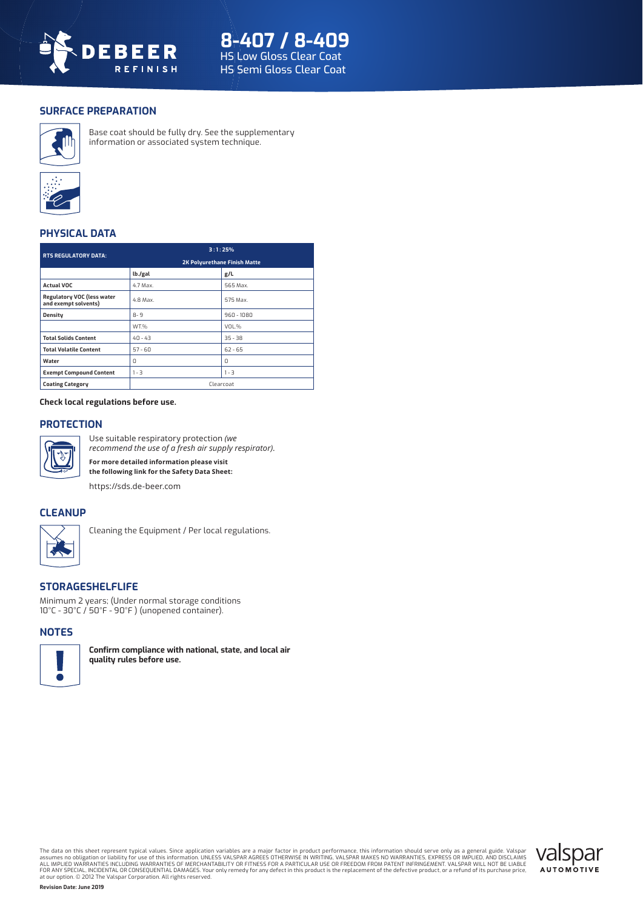

# **SURFACE PREPARATION**



 Base coat should be fully dry. See the supplementary information or associated system technique.



# **PHYSICAL DATA**

| <b>RTS REGULATORY DATA:</b>                               | 3:1:25%                             |              |  |
|-----------------------------------------------------------|-------------------------------------|--------------|--|
|                                                           | <b>2K Polyurethane Finish Matte</b> |              |  |
|                                                           | lb./gal                             | g/L          |  |
| <b>Actual VOC</b>                                         | 4.7 Max.                            | 565 Max.     |  |
| <b>Regulatory VOC (less water</b><br>and exempt solvents) | 4.8 Max.                            | 575 Max.     |  |
| <b>Density</b>                                            | $8 - 9$                             | $960 - 1080$ |  |
|                                                           | WT.%                                | VOL.%        |  |
| <b>Total Solids Content</b>                               | $40 - 43$                           | $35 - 38$    |  |
| <b>Total Volatile Content</b>                             | $57 - 60$                           | $62 - 65$    |  |
| Water                                                     | n                                   | $\Omega$     |  |
| <b>Exempt Compound Content</b>                            | $1 - 3$                             | $1 - 3$      |  |
| <b>Coating Category</b>                                   | Clearcoat                           |              |  |

**Check local regulations before use.**

# **PROTECTION**



Use suitable respiratory protection *(we recommend the use of a fresh air supply respirator)*. **For more detailed information please visit the following link for the Safety Data Sheet:**

https://sds.de-beer.com

# **CLEANUP**



Cleaning the Equipment / Per local regulations.

# **STORAGESHELFLIFE**

Minimum 2 years; (Under normal storage conditions 10°C - 30°C / 50°F - 90°F ) (unopened container).

## **NOTES**



**Confirm compliance with national, state, and local air quality rules before use.**

The data on this sheet represent typical values. Since application variables are a major factor in product performance, this information should serve only as a general guide. Valspar<br>assumes no obligation or liability for at our option. © 2012 The Valspar Corporation. All rights reserved.

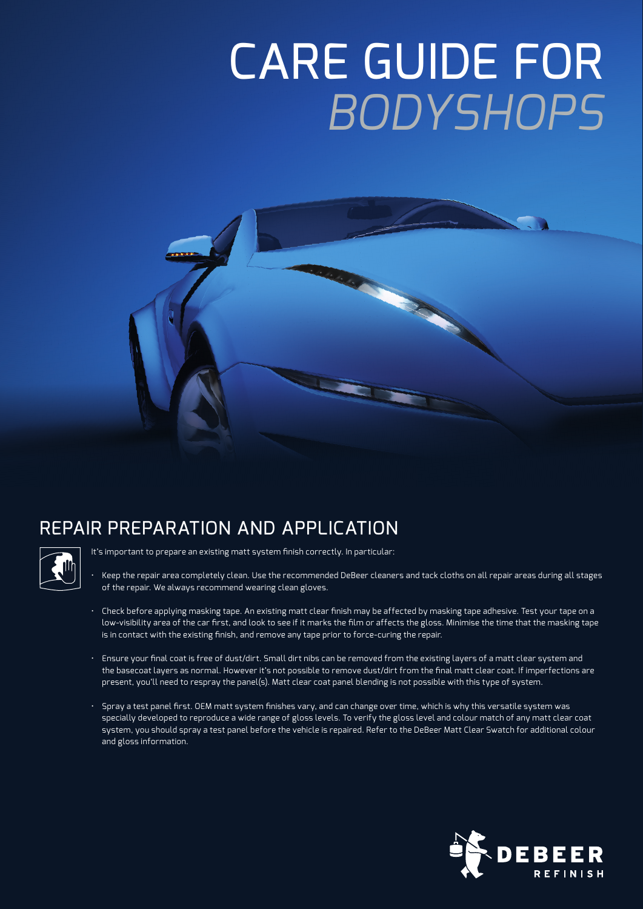# CARE GUIDE FOR *BODYSHOPS*





It's important to prepare an existing matt system finish correctly. In particular:

- Keep the repair area completely clean. Use the recommended DeBeer cleaners and tack cloths on all repair areas during all stages of the repair. We always recommend wearing clean gloves.
- Check before applying masking tape. An existing matt clear finish may be affected by masking tape adhesive. Test your tape on a low-visibility area of the car first, and look to see if it marks the film or affects the gloss. Minimise the time that the masking tape is in contact with the existing finish, and remove any tape prior to force-curing the repair.
- Ensure your fi nal coat is free of dust/dirt. Small dirt nibs can be removed from the existing layers of a matt clear system and the basecoat layers as normal. However it's not possible to remove dust/dirt from the final matt clear coat. If imperfections are present, you'll need to respray the panel(s). Matt clear coat panel blending is not possible with this type of system.
- $\cdot$  Spray a test panel first. OEM matt system finishes vary, and can change over time, which is why this versatile system was specially developed to reproduce a wide range of gloss levels. To verify the gloss level and colour match of any matt clear coat system, you should spray a test panel before the vehicle is repaired. Refer to the DeBeer Matt Clear Swatch for additional colour and gloss information.